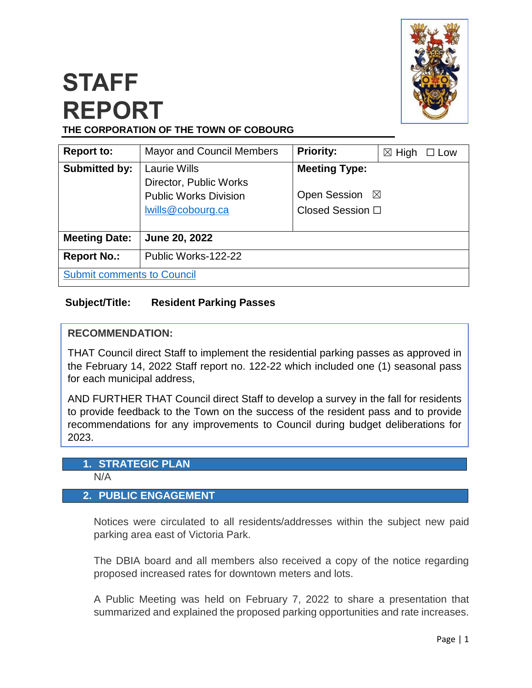

# **STAFF REPORT THE CORPORATION OF THE TOWN OF COBOURG**

| <b>Report to:</b>                 | <b>Mayor and Council Members</b>                                                                   | <b>Priority:</b>                                                               | $\boxtimes$ High<br>$\square$ Low |
|-----------------------------------|----------------------------------------------------------------------------------------------------|--------------------------------------------------------------------------------|-----------------------------------|
| <b>Submitted by:</b>              | <b>Laurie Wills</b><br>Director, Public Works<br><b>Public Works Division</b><br>lwills@cobourg.ca | <b>Meeting Type:</b><br><b>Open Session</b><br>$\boxtimes$<br>Closed Session □ |                                   |
| <b>Meeting Date:</b>              | June 20, 2022                                                                                      |                                                                                |                                   |
| <b>Report No.:</b>                | Public Works-122-22                                                                                |                                                                                |                                   |
| <b>Submit comments to Council</b> |                                                                                                    |                                                                                |                                   |

## **Subject/Title: Resident Parking Passes**

## **RECOMMENDATION:**

THAT Council direct Staff to implement the residential parking passes as approved in the February 14, 2022 Staff report no. 122-22 which included one (1) seasonal pass for each municipal address,

AND FURTHER THAT Council direct Staff to develop a survey in the fall for residents to provide feedback to the Town on the success of the resident pass and to provide recommendations for any improvements to Council during budget deliberations for 2023.

## **1. STRATEGIC PLAN**

N/A

## **2. PUBLIC ENGAGEMENT**

Notices were circulated to all residents/addresses within the subject new paid parking area east of Victoria Park.

The DBIA board and all members also received a copy of the notice regarding proposed increased rates for downtown meters and lots.

A Public Meeting was held on February 7, 2022 to share a presentation that summarized and explained the proposed parking opportunities and rate increases.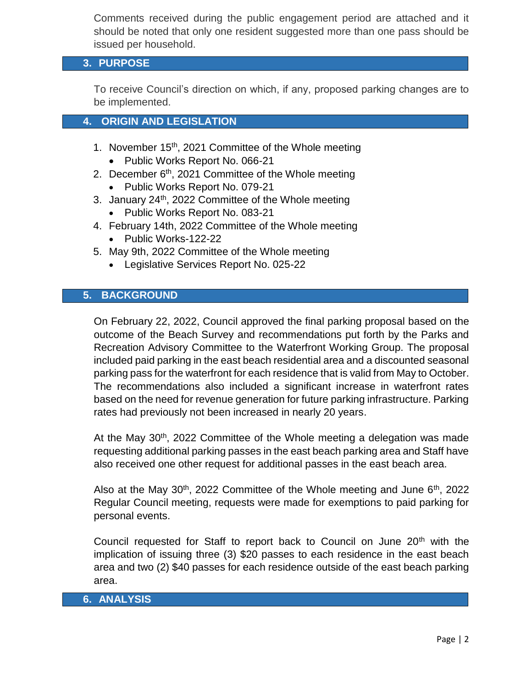Comments received during the public engagement period are attached and it should be noted that only one resident suggested more than one pass should be issued per household.

## **3. PURPOSE**

To receive Council's direction on which, if any, proposed parking changes are to be implemented.

#### **4. ORIGIN AND LEGISLATION**

- 1. November  $15<sup>th</sup>$ , 2021 Committee of the Whole meeting
	- Public Works Report No. 066-21
- 2. December  $6<sup>th</sup>$ , 2021 Committee of the Whole meeting
	- Public Works Report No. 079-21
- 3. January  $24<sup>th</sup>$ , 2022 Committee of the Whole meeting • Public Works Report No. 083-21
- 4. February 14th, 2022 Committee of the Whole meeting
	- Public Works-122-22
- 5. May 9th, 2022 Committee of the Whole meeting
	- Legislative Services Report No. 025-22

## **5. BACKGROUND**

On February 22, 2022, Council approved the final parking proposal based on the outcome of the Beach Survey and recommendations put forth by the Parks and Recreation Advisory Committee to the Waterfront Working Group. The proposal included paid parking in the east beach residential area and a discounted seasonal parking pass for the waterfront for each residence that is valid from May to October. The recommendations also included a significant increase in waterfront rates based on the need for revenue generation for future parking infrastructure. Parking rates had previously not been increased in nearly 20 years.

At the May  $30<sup>th</sup>$ , 2022 Committee of the Whole meeting a delegation was made requesting additional parking passes in the east beach parking area and Staff have also received one other request for additional passes in the east beach area.

Also at the May 30<sup>th</sup>, 2022 Committee of the Whole meeting and June  $6<sup>th</sup>$ , 2022 Regular Council meeting, requests were made for exemptions to paid parking for personal events.

Council requested for Staff to report back to Council on June  $20<sup>th</sup>$  with the implication of issuing three (3) \$20 passes to each residence in the east beach area and two (2) \$40 passes for each residence outside of the east beach parking area.

#### **6. ANALYSIS**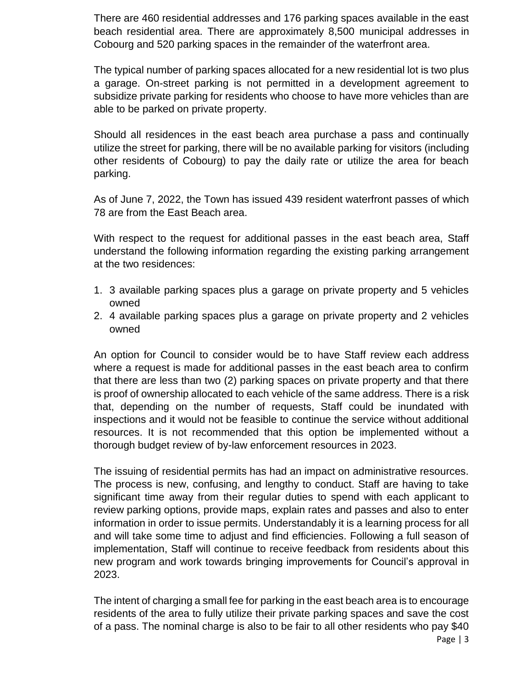There are 460 residential addresses and 176 parking spaces available in the east beach residential area. There are approximately 8,500 municipal addresses in Cobourg and 520 parking spaces in the remainder of the waterfront area.

The typical number of parking spaces allocated for a new residential lot is two plus a garage. On-street parking is not permitted in a development agreement to subsidize private parking for residents who choose to have more vehicles than are able to be parked on private property.

Should all residences in the east beach area purchase a pass and continually utilize the street for parking, there will be no available parking for visitors (including other residents of Cobourg) to pay the daily rate or utilize the area for beach parking.

As of June 7, 2022, the Town has issued 439 resident waterfront passes of which 78 are from the East Beach area.

With respect to the request for additional passes in the east beach area, Staff understand the following information regarding the existing parking arrangement at the two residences:

- 1. 3 available parking spaces plus a garage on private property and 5 vehicles owned
- 2. 4 available parking spaces plus a garage on private property and 2 vehicles owned

An option for Council to consider would be to have Staff review each address where a request is made for additional passes in the east beach area to confirm that there are less than two (2) parking spaces on private property and that there is proof of ownership allocated to each vehicle of the same address. There is a risk that, depending on the number of requests, Staff could be inundated with inspections and it would not be feasible to continue the service without additional resources. It is not recommended that this option be implemented without a thorough budget review of by-law enforcement resources in 2023.

The issuing of residential permits has had an impact on administrative resources. The process is new, confusing, and lengthy to conduct. Staff are having to take significant time away from their regular duties to spend with each applicant to review parking options, provide maps, explain rates and passes and also to enter information in order to issue permits. Understandably it is a learning process for all and will take some time to adjust and find efficiencies. Following a full season of implementation, Staff will continue to receive feedback from residents about this new program and work towards bringing improvements for Council's approval in 2023.

The intent of charging a small fee for parking in the east beach area is to encourage residents of the area to fully utilize their private parking spaces and save the cost of a pass. The nominal charge is also to be fair to all other residents who pay \$40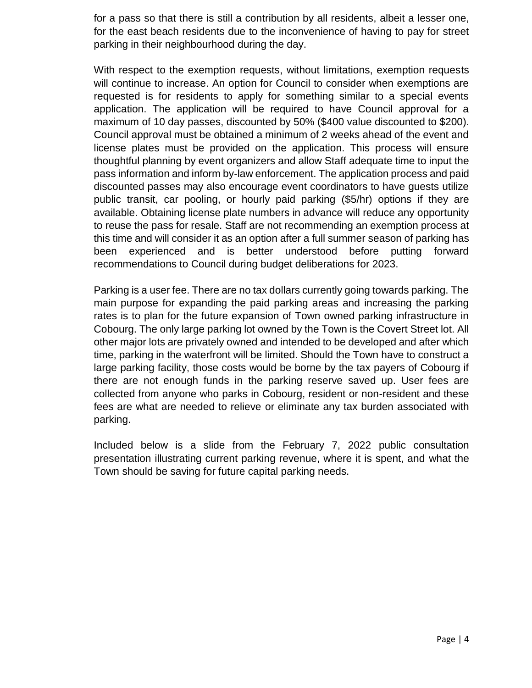for a pass so that there is still a contribution by all residents, albeit a lesser one, for the east beach residents due to the inconvenience of having to pay for street parking in their neighbourhood during the day.

With respect to the exemption requests, without limitations, exemption requests will continue to increase. An option for Council to consider when exemptions are requested is for residents to apply for something similar to a special events application. The application will be required to have Council approval for a maximum of 10 day passes, discounted by 50% (\$400 value discounted to \$200). Council approval must be obtained a minimum of 2 weeks ahead of the event and license plates must be provided on the application. This process will ensure thoughtful planning by event organizers and allow Staff adequate time to input the pass information and inform by-law enforcement. The application process and paid discounted passes may also encourage event coordinators to have guests utilize public transit, car pooling, or hourly paid parking (\$5/hr) options if they are available. Obtaining license plate numbers in advance will reduce any opportunity to reuse the pass for resale. Staff are not recommending an exemption process at this time and will consider it as an option after a full summer season of parking has been experienced and is better understood before putting forward recommendations to Council during budget deliberations for 2023.

Parking is a user fee. There are no tax dollars currently going towards parking. The main purpose for expanding the paid parking areas and increasing the parking rates is to plan for the future expansion of Town owned parking infrastructure in Cobourg. The only large parking lot owned by the Town is the Covert Street lot. All other major lots are privately owned and intended to be developed and after which time, parking in the waterfront will be limited. Should the Town have to construct a large parking facility, those costs would be borne by the tax payers of Cobourg if there are not enough funds in the parking reserve saved up. User fees are collected from anyone who parks in Cobourg, resident or non-resident and these fees are what are needed to relieve or eliminate any tax burden associated with parking.

Included below is a slide from the February 7, 2022 public consultation presentation illustrating current parking revenue, where it is spent, and what the Town should be saving for future capital parking needs.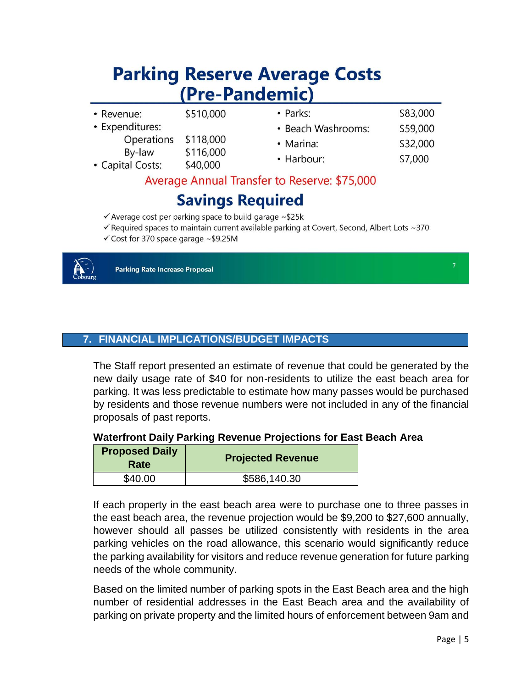# **Parking Reserve Average Costs** (Pre-Pandemic)

| <b>Savings Required</b>                      |                        |                    |          |  |
|----------------------------------------------|------------------------|--------------------|----------|--|
| Average Annual Transfer to Reserve: \$75,000 |                        |                    |          |  |
| • Capital Costs:                             | \$40,000               | • Harbour:         | \$7,000  |  |
| Operations<br>By-law                         | \$118,000<br>\$116,000 | • Marina:          | \$32,000 |  |
| • Expenditures:                              |                        | • Beach Washrooms: | \$59,000 |  |
| • Revenue:                                   | \$510,000              | • Parks:           | \$83,000 |  |

- $\checkmark$  Average cost per parking space to build garage ~\$25k
- Gequired spaces to maintain current available parking at Covert, Second, Albert Lots ~370
- $\checkmark$  Cost for 370 space garage ~\$9.25M



**Parking Rate Increase Proposal** 

**7. FINANCIAL IMPLICATIONS/BUDGET IMPACTS**

The Staff report presented an estimate of revenue that could be generated by the new daily usage rate of \$40 for non-residents to utilize the east beach area for parking. It was less predictable to estimate how many passes would be purchased by residents and those revenue numbers were not included in any of the financial proposals of past reports.

#### **Waterfront Daily Parking Revenue Projections for East Beach Area**

| <b>Proposed Daily</b><br>Rate | <b>Projected Revenue</b> |
|-------------------------------|--------------------------|
| \$40.00                       | \$586,140.30             |

If each property in the east beach area were to purchase one to three passes in the east beach area, the revenue projection would be \$9,200 to \$27,600 annually, however should all passes be utilized consistently with residents in the area parking vehicles on the road allowance, this scenario would significantly reduce the parking availability for visitors and reduce revenue generation for future parking needs of the whole community.

Based on the limited number of parking spots in the East Beach area and the high number of residential addresses in the East Beach area and the availability of parking on private property and the limited hours of enforcement between 9am and